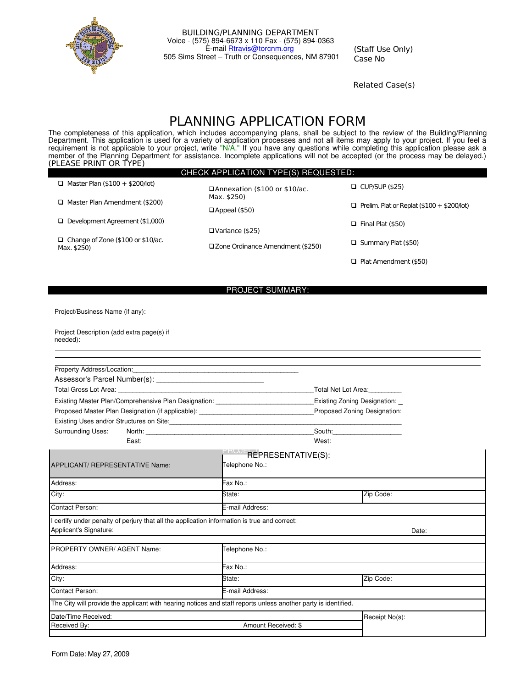

BUILDING/PLANNING DEPARTMENT Voice - (575) 894-6673 x 110 Fax - (575) 894-0363 É-mail Rtravis@torcnm.org 505 Sims Street – Truth or Consequences, NM 87901

(Staff Use Only) Case No

Related Case(s)

## PLANNING APPLICATION FORM

The completeness of this application, which includes accompanying plans, shall be subject to the review of the Building/Planning Department. This application is used for a variety of application processes and not all items may apply to your project. If you feel a requirement is not applicable to your project, write "N/A." If you have any questions while completing this application please ask a member of the Planning Department for assistance. Incomplete applications will not be accepted (or the process may be delayed.) (PLEASE PRINT OR TYPE)

#### CHECK APPLICATION TYPE(S) REQUESTED:

| $\Box$ Master Plan (\$100 + \$200/lot)                  | □Annexation (\$100 or \$10/ac.    | $\Box$ CUP/SUP (\$25)                             |
|---------------------------------------------------------|-----------------------------------|---------------------------------------------------|
| $\Box$ Master Plan Amendment (\$200)                    | Max. \$250)<br>□Appeal (\$50)     | $\Box$ Prelim. Plat or Replat (\$100 + \$200/lot) |
| $\Box$ Development Agreement (\$1,000)                  | □Variance (\$25)                  | $\Box$ Final Plat (\$50)                          |
| $\Box$ Change of Zone (\$100 or \$10/ac.<br>Max. \$250) | □Zone Ordinance Amendment (\$250) | $\Box$ Summary Plat (\$50)                        |
|                                                         |                                   | $\Box$ Plat Amendment (\$50)                      |

#### PROJECT SUMMARY:

Project/Business Name (if any):

| Project Description (add extra page(s) if |  |
|-------------------------------------------|--|
| needed):                                  |  |

| Property Address/Location:                                                                                                                                                                                                     |                                                                                                                  |                               |  |
|--------------------------------------------------------------------------------------------------------------------------------------------------------------------------------------------------------------------------------|------------------------------------------------------------------------------------------------------------------|-------------------------------|--|
|                                                                                                                                                                                                                                |                                                                                                                  |                               |  |
| Total Gross Lot Area: Website and Services and Services and Services and Services and Services and Services and Services and Services and Services and Services and Services and Services and Services and Services and Servic |                                                                                                                  | Total Net Lot Area:           |  |
|                                                                                                                                                                                                                                | Existing Master Plan/Comprehensive Plan Designation: ___________________________<br>Existing Zoning Designation: |                               |  |
| Proposed Master Plan Designation (if applicable): Non-North Master Communist Communist Communist Communist Communist Communist Communist Communist Communist Communist Communist Communist Communist Communist Communist Commu |                                                                                                                  | Proposed Zoning Designation:  |  |
| Existing Uses and/or Structures on Site:                                                                                                                                                                                       |                                                                                                                  |                               |  |
| <b>Surrounding Uses:</b>                                                                                                                                                                                                       |                                                                                                                  | _South:______________________ |  |
| East:                                                                                                                                                                                                                          | West:                                                                                                            |                               |  |
|                                                                                                                                                                                                                                | REPRESENTATIVE(S):                                                                                               |                               |  |
| APPLICANT/ REPRESENTATIVE Name:                                                                                                                                                                                                | Telephone No.:                                                                                                   |                               |  |
| Address:                                                                                                                                                                                                                       | Fax No.:                                                                                                         |                               |  |
| City:                                                                                                                                                                                                                          | State:                                                                                                           | Zip Code:                     |  |
| Contact Person:                                                                                                                                                                                                                | E-mail Address:                                                                                                  |                               |  |
| I certify under penalty of perjury that all the application information is true and correct:<br>Applicant's Signature:                                                                                                         |                                                                                                                  | Date:                         |  |
| PROPERTY OWNER/AGENT Name:                                                                                                                                                                                                     | Telephone No.:                                                                                                   |                               |  |
| Address:                                                                                                                                                                                                                       | Fax No.:                                                                                                         |                               |  |
| City:                                                                                                                                                                                                                          | State:                                                                                                           | Zip Code:                     |  |
| Contact Person:                                                                                                                                                                                                                | E-mail Address:                                                                                                  |                               |  |
| The City will provide the applicant with hearing notices and staff reports unless another party is identified.                                                                                                                 |                                                                                                                  |                               |  |
| Date/Time Received:                                                                                                                                                                                                            |                                                                                                                  | Receipt No(s):                |  |
| Received By:                                                                                                                                                                                                                   | Amount Received: \$                                                                                              |                               |  |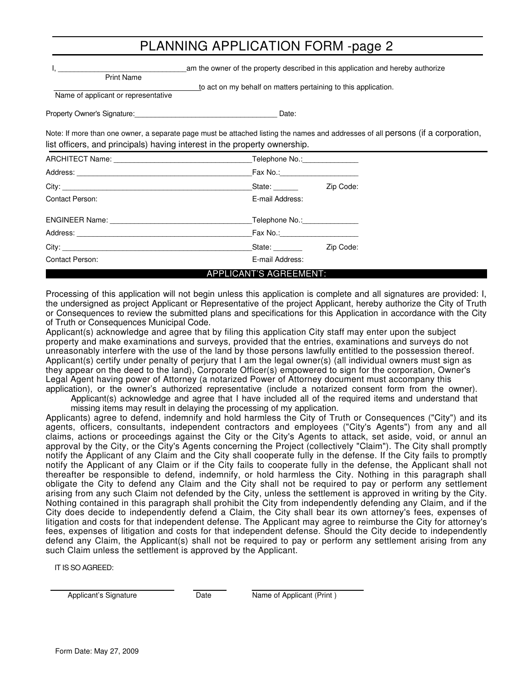## PLANNING APPLICATION FORM -page 2

|                                                          | am the owner of the property described in this application and hereby authorize                                                  |
|----------------------------------------------------------|----------------------------------------------------------------------------------------------------------------------------------|
| <b>Print Name</b><br>Name of applicant or representative | to act on my behalf on matters pertaining to this application.                                                                   |
| Property Owner's Signature:                              | Date:                                                                                                                            |
|                                                          | Note: If more than one owner, a separate page must be attached listing the names and addresses of all persons (if a corporation, |

list officers, and principals) having interest in the property ownership.

|                 | Telephone No.: \\cdot \\cdot \\cdot \\cdot \\cdot \\cdot \\cdot \\cdot \\cdot \\cdot \\cdot \\cdot \\cdot \\cdot \\cdot \\cdot \\cdot \\cdot \\cdot \\cdot \\cdot \\cdot \\cdot \\cdot \\cdot \\cdot \\cdot \\cdot \\cdot \\cd |           |
|-----------------|--------------------------------------------------------------------------------------------------------------------------------------------------------------------------------------------------------------------------------|-----------|
|                 |                                                                                                                                                                                                                                |           |
|                 | State: ______                                                                                                                                                                                                                  | Zip Code: |
| Contact Person: | E-mail Address:                                                                                                                                                                                                                |           |
|                 | Telephone No.: Victorian Contractor                                                                                                                                                                                            |           |
|                 | Fax No.:______________________                                                                                                                                                                                                 |           |
|                 | State:                                                                                                                                                                                                                         | Zip Code: |
| Contact Person: | E-mail Address:                                                                                                                                                                                                                |           |
|                 | <b>APPLICANT'S AGREEMENT:</b>                                                                                                                                                                                                  |           |

Processing of this application will not begin unless this application is complete and all signatures are provided: I, the undersigned as project Applicant or Representative of the project Applicant, hereby authorize the City of Truth or Consequences to review the submitted plans and specifications for this Application in accordance with the City of Truth or Consequences Municipal Code.

Applicant(s) acknowledge and agree that by filing this application City staff may enter upon the subject property and make examinations and surveys, provided that the entries, examinations and surveys do not unreasonably interfere with the use of the land by those persons lawfully entitled to the possession thereof. Applicant(s) certify under penalty of perjury that I am the legal owner(s) (all individual owners must sign as they appear on the deed to the land), Corporate Officer(s) empowered to sign for the corporation, Owner's Legal Agent having power of Attorney (a notarized Power of Attorney document must accompany this application), or the owner's authorized representative (include a notarized consent form from the owner).

Applicant(s) acknowledge and agree that I have included all of the required items and understand that missing items may result in delaying the processing of my application.

Applicants) agree to defend, indemnify and hold harmless the City of Truth or Consequences ("City") and its agents, officers, consultants, independent contractors and employees ("City's Agents") from any and all claims, actions or proceedings against the City or the City's Agents to attack, set aside, void, or annul an approval by the City, or the City's Agents concerning the Project (collectively "Claim"). The City shall promptly notify the Applicant of any Claim and the City shall cooperate fully in the defense. If the City fails to promptly notify the Applicant of any Claim or if the City fails to cooperate fully in the defense, the Applicant shall not thereafter be responsible to defend, indemnify, or hold harmless the City. Nothing in this paragraph shall obligate the City to defend any Claim and the City shall not be required to pay or perform any settlement arising from any such Claim not defended by the City, unless the settlement is approved in writing by the City. Nothing contained in this paragraph shall prohibit the City from independently defending any Claim, and if the City does decide to independently defend a Claim, the City shall bear its own attorney's fees, expenses of litigation and costs for that independent defense. The Applicant may agree to reimburse the City for attorney's fees, expenses of litigation and costs for that independent defense. Should the City decide to independently defend any Claim, the Applicant(s) shall not be required to pay or perform any settlement arising from any such Claim unless the settlement is approved by the Applicant.

IT IS SO AGREED:

Applicant's Signature **Date** Date Name of Applicant (Print )